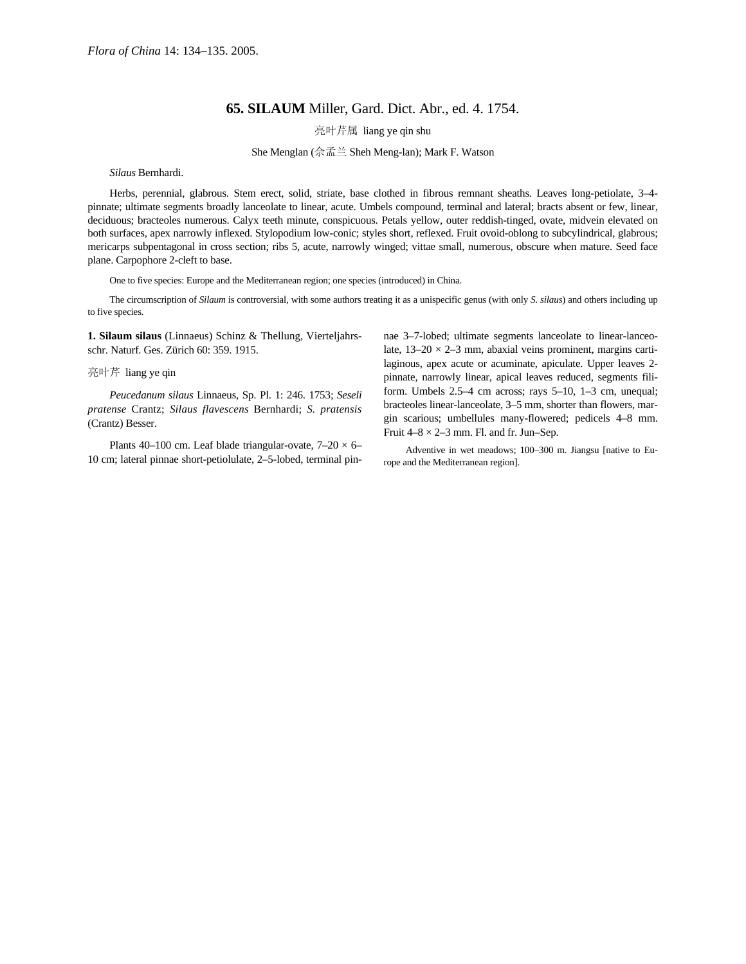## **65. SILAUM** Miller, Gard. Dict. Abr., ed. 4. 1754.

亮叶芹属 liang ye qin shu

She Menglan (佘孟兰 Sheh Meng-lan); Mark F. Watson

*Silaus* Bernhardi.

Herbs, perennial, glabrous. Stem erect, solid, striate, base clothed in fibrous remnant sheaths. Leaves long-petiolate, 3–4 pinnate; ultimate segments broadly lanceolate to linear, acute. Umbels compound, terminal and lateral; bracts absent or few, linear, deciduous; bracteoles numerous. Calyx teeth minute, conspicuous. Petals yellow, outer reddish-tinged, ovate, midvein elevated on both surfaces, apex narrowly inflexed. Stylopodium low-conic; styles short, reflexed. Fruit ovoid-oblong to subcylindrical, glabrous; mericarps subpentagonal in cross section; ribs 5, acute, narrowly winged; vittae small, numerous, obscure when mature. Seed face plane. Carpophore 2-cleft to base.

One to five species: Europe and the Mediterranean region; one species (introduced) in China.

The circumscription of *Silaum* is controversial, with some authors treating it as a unispecific genus (with only *S. silaus*) and others including up to five species.

**1. Silaum silaus** (Linnaeus) Schinz & Thellung, Vierteljahrsschr. Naturf. Ges. Zürich 60: 359. 1915.

## 亮叶芹 liang ye qin

*Peucedanum silaus* Linnaeus, Sp. Pl. 1: 246. 1753; *Seseli pratense* Crantz; *Silaus flavescens* Bernhardi; *S. pratensis* (Crantz) Besser.

Plants 40–100 cm. Leaf blade triangular-ovate,  $7-20 \times 6$ – 10 cm; lateral pinnae short-petiolulate, 2–5-lobed, terminal pinnae 3–7-lobed; ultimate segments lanceolate to linear-lanceolate,  $13-20 \times 2-3$  mm, abaxial veins prominent, margins cartilaginous, apex acute or acuminate, apiculate. Upper leaves 2 pinnate, narrowly linear, apical leaves reduced, segments filiform. Umbels 2.5–4 cm across; rays 5–10, 1–3 cm, unequal; bracteoles linear-lanceolate, 3–5 mm, shorter than flowers, margin scarious; umbellules many-flowered; pedicels 4–8 mm. Fruit  $4-8 \times 2-3$  mm. Fl. and fr. Jun–Sep.

Adventive in wet meadows; 100–300 m. Jiangsu [native to Europe and the Mediterranean region].